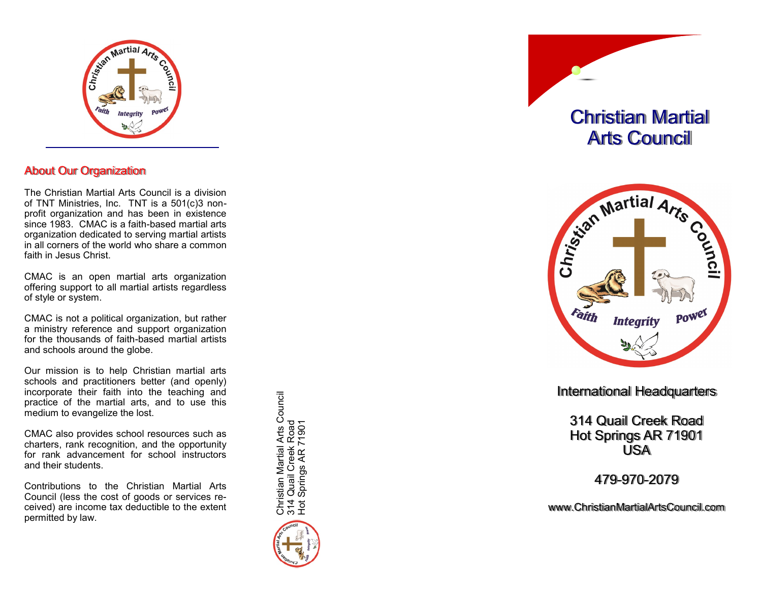

## About Our Organization

The Christian Martial Arts Council is a division of TNT Ministries, Inc. TNT is a 501(c)3 non profit organization and has been in existence since 1983. CMAC is a faith -based martial arts organization dedicated to serving martial artists in all corners of the world who share a common faith in Jesus Christ.

CMAC is an open martial arts organization offering support to all martial artists regardless of style or system.

CMAC is not a political organization, but rather a ministry reference and support organization for the thousands of faith -based martial artists and schools around the globe.

Our mission is to help Christian martial arts schools and practitioners better (and openly) incorporate their faith into the teaching and practice of the martial arts, and to use this medium to evangelize the lost.

CMAC also provides school resources such as charters, rank recognition, and the opportunity for rank advancement for school instructors and their students.

Contributions to the Christian Martial Arts Council (less the cost of goods or services received) are income tax deductible to the extent permitted by law.

Christian Martial Arts Council<br>314 Quail Creek Road<br>Hot Springs AR 71901 Christian Martial Arts Council 314 Quail Creek Road Hot Springs AR 71901



Christian Martial Arts Council



International Headquarters

314 Quail Creek Road Hot Springs AR 71901 USA

479 -970 -2079

www.ChristianMartialArtsCouncil.com